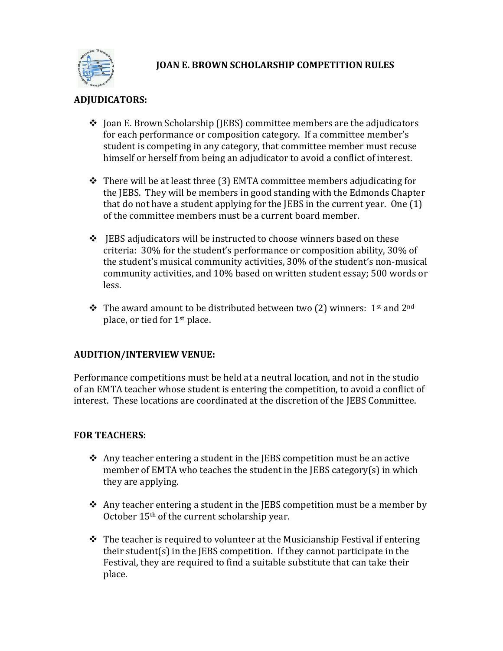

## **JOAN E. BROWN SCHOLARSHIP COMPETITION RULES**

# **ADJUDICATORS:**

- $\triangle$  Joan E. Brown Scholarship (JEBS) committee members are the adjudicators for each performance or composition category. If a committee member's student is competing in any category, that committee member must recuse himself or herself from being an adjudicator to avoid a conflict of interest.
- $\cdot$  There will be at least three (3) EMTA committee members adjudicating for the JEBS. They will be members in good standing with the Edmonds Chapter that do not have a student applying for the JEBS in the current year. One (1) of the committee members must be a current board member.
- $\div$  JEBS adjudicators will be instructed to choose winners based on these criteria: 30% for the student's performance or composition ability, 30% of the student's musical community activities, 30% of the student's non-musical community activities, and 10% based on written student essay; 500 words or less.
- $\cdot \cdot$  The award amount to be distributed between two (2) winners: 1<sup>st</sup> and 2<sup>nd</sup> place, or tied for 1st place.

### **AUDITION/INTERVIEW VENUE:**

Performance competitions must be held at a neutral location, and not in the studio of an EMTA teacher whose student is entering the competition, to avoid a conflict of interest. These locations are coordinated at the discretion of the JEBS Committee.

### **FOR TEACHERS:**

- $\triangle$  Any teacher entering a student in the JEBS competition must be an active member of EMTA who teaches the student in the JEBS category(s) in which they are applying.
- $\triangle$  Any teacher entering a student in the JEBS competition must be a member by October 15th of the current scholarship year.
- $\div$  The teacher is required to volunteer at the Musicianship Festival if entering their student(s) in the JEBS competition. If they cannot participate in the Festival, they are required to find a suitable substitute that can take their place.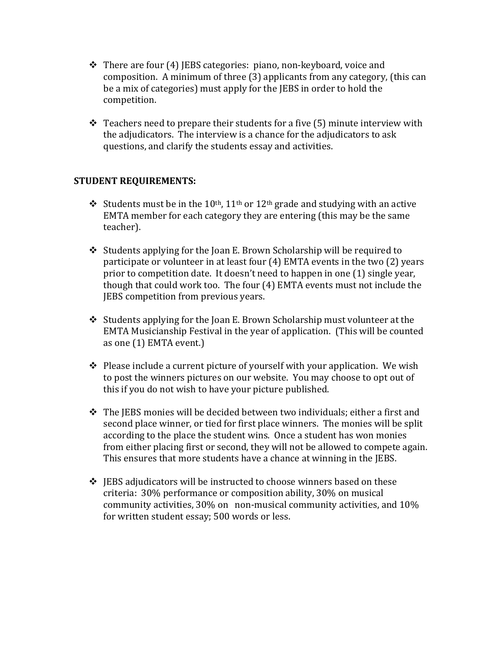- $\cdot$  There are four (4) JEBS categories: piano, non-keyboard, voice and composition. A minimum of three (3) applicants from any category, (this can be a mix of categories) must apply for the JEBS in order to hold the competition.
- $\triangle$  Teachers need to prepare their students for a five (5) minute interview with the adjudicators. The interview is a chance for the adjudicators to ask questions, and clarify the students essay and activities.

#### **STUDENT REQUIREMENTS:**

- Students must be in the 10<sup>th</sup>, 11<sup>th</sup> or 12<sup>th</sup> grade and studying with an active EMTA member for each category they are entering (this may be the same teacher).
- $\triangle$  Students applying for the Joan E. Brown Scholarship will be required to participate or volunteer in at least four (4) EMTA events in the two (2) years prior to competition date. It doesn't need to happen in one (1) single year, though that could work too. The four (4) EMTA events must not include the JEBS competition from previous years.
- $\triangle$  Students applying for the Joan E. Brown Scholarship must volunteer at the EMTA Musicianship Festival in the year of application. (This will be counted as one (1) EMTA event.)
- $\triangle$  Please include a current picture of yourself with your application. We wish to post the winners pictures on our website. You may choose to opt out of this if you do not wish to have your picture published.
- \* The JEBS monies will be decided between two individuals; either a first and second place winner, or tied for first place winners. The monies will be split according to the place the student wins. Once a student has won monies from either placing first or second, they will not be allowed to compete again. This ensures that more students have a chance at winning in the JEBS.
- $\div$  JEBS adjudicators will be instructed to choose winners based on these criteria: 30% performance or composition ability, 30% on musical community activities, 30% on non-musical community activities, and 10% for written student essay; 500 words or less.